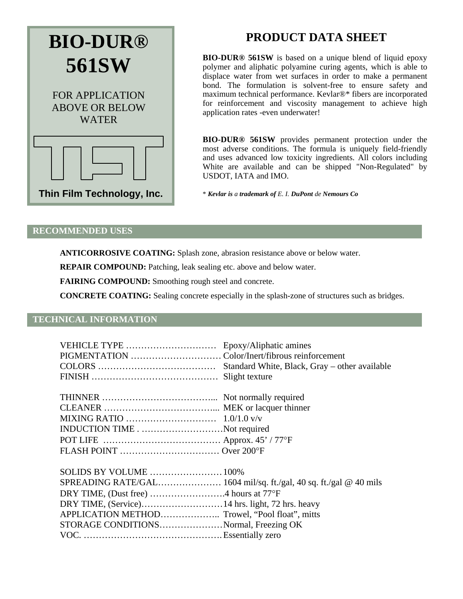

# **PRODUCT DATA SHEET**

**BIO-DUR® 561SW** is based on a unique blend of liquid epoxy polymer and aliphatic polyamine curing agents, which is able to displace water from wet surfaces in order to make a permanent bond. The formulation is solvent-free to ensure safety and maximum technical performance. Kevlar®\* fibers are incorporated for reinforcement and viscosity management to achieve high application rates -even underwater!

**BIO-DUR® 561SW** provides permanent protection under the most adverse conditions. The formula is uniquely field-friendly and uses advanced low toxicity ingredients. All colors including White are available and can be shipped "Non-Regulated" by USDOT, IATA and IMO.

\* *Kevlar is a trademark of E. I. DuPont de Nemours Co*

### **RECOMMENDED USES**

**ANTICORROSIVE COATING:** Splash zone, abrasion resistance above or below water.

**REPAIR COMPOUND:** Patching, leak sealing etc. above and below water.

**FAIRING COMPOUND:** Smoothing rough steel and concrete.

**CONCRETE COATING:** Sealing concrete especially in the splash-zone of structures such as bridges.

## **TECHNICAL INFORMATION**

| INDUCTION TIMENot required                     |  |
|------------------------------------------------|--|
|                                                |  |
|                                                |  |
|                                                |  |
| SOLIDS BY VOLUME  100%                         |  |
|                                                |  |
|                                                |  |
|                                                |  |
| APPLICATION METHOD Trowel, "Pool float", mitts |  |
| STORAGE CONDITIONSNormal, Freezing OK          |  |
|                                                |  |
|                                                |  |